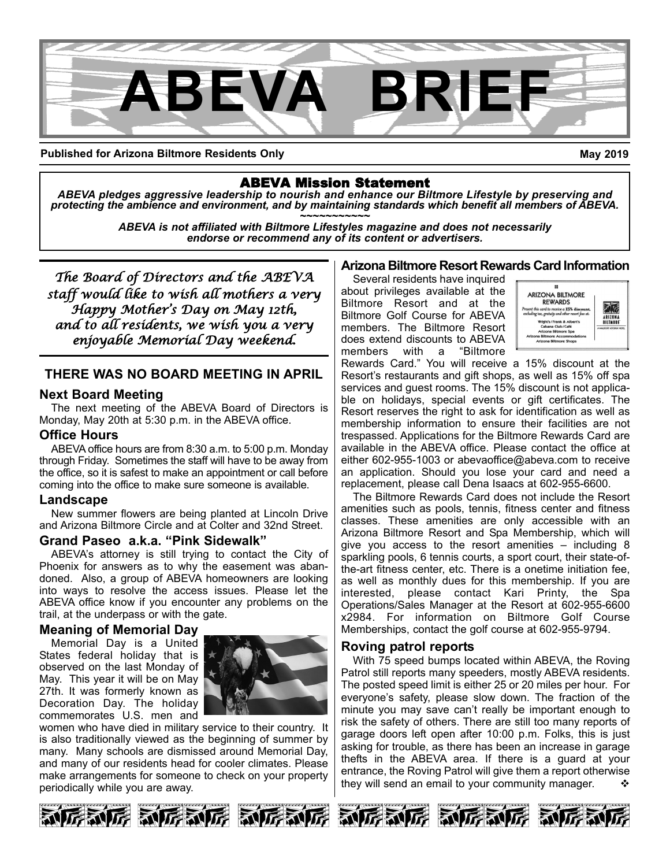

**Published for Arizona Biltmore Residents Only**

**May 2019**

ABEVA Mission Statement *ABEVA pledges aggressive leadership to nourish and enhance our Biltmore Lifestyle by preserving and* protecting the ambience and environment, and by maintaining standards which benefit all members of ABEVA.<br>ABEVA is not affiliated with Biltmore Lifestyles magazine and does not necessarily

*endorse or recommend any of its content or advertisers.*

*The Board of Directors and the ABEVA staff would like to wish all mothers a very Happy Mother's Day on May 12th, and to all residents, we wish you a very enjoyable Memorial Day weekend.*

### **THERE WAS NO BOARD MEETING IN APRIL**

#### **Next Board Meeting**

The next meeting of the ABEVA Board of Directors is Monday, May 20th at 5:30 p.m. in the ABEVA office.

#### **Office Hours**

ABEVA office hours are from 8:30 a.m. to 5:00 p.m. Monday through Friday. Sometimes the staff will have to be away from the office, so it is safest to make an appointment or call before coming into the office to make sure someone is available.

#### **Landscape**

New summer flowers are being planted at Lincoln Drive and Arizona Biltmore Circle and at Colter and 32nd Street.

#### **Grand Paseo a.k.a. "Pink Sidewalk"**

ABEVA's attorney is still trying to contact the City of Phoenix for answers as to why the easement was abandoned. Also, a group of ABEVA homeowners are looking into ways to resolve the access issues. Please let the ABEVA office know if you encounter any problems on the trail, at the underpass or with the gate.

#### **Meaning of Memorial Day**

Memorial Day is a United States federal holiday that is observed on the last Monday of May. This year it will be on May 27th. It was formerly known as Decoration Day. The holiday commemorates U.S. men and



women who have died in military service to their country. It is also traditionally viewed as the beginning of summer by many. Many schools are dismissed around Memorial Day, and many of our residents head for cooler climates. Please make arrangements for someone to check on your property periodically while you are away.

### **Arizona Biltmore Resort Rewards Card Information**

Several residents have inquired about privileges available at the Biltmore Resort and at the Biltmore Golf Course for ABEVA members. The Biltmore Resort does extend discounts to ABEVA members with a "Biltmore



Rewards Card." You will receive a 15% discount at the Resort's restaurants and gift shops, as well as 15% off spa services and guest rooms. The 15% discount is not applicable on holidays, special events or gift certificates. The Resort reserves the right to ask for identification as well as membership information to ensure their facilities are not trespassed. Applications for the Biltmore Rewards Card are available in the ABEVA office. Please contact the office at either 602-955-1003 or abevaoffice@abeva.com to receive an application. Should you lose your card and need a replacement, please call Dena Isaacs at 602-955-6600.

The Biltmore Rewards Card does not include the Resort amenities such as pools, tennis, fitness center and fitness classes. These amenities are only accessible with an Arizona Biltmore Resort and Spa Membership, which will give you access to the resort amenities – including 8 sparkling pools, 6 tennis courts, a sport court, their state-ofthe-art fitness center, etc. There is a onetime initiation fee, as well as monthly dues for this membership. If you are interested, please contact Kari Printy, the Spa Operations/Sales Manager at the Resort at 602-955-6600 x2984. For information on Biltmore Golf Course Memberships, contact the golf course at 602-955-9794.

### **Roving patrol reports**

With 75 speed bumps located within ABEVA, the Roving Patrol still reports many speeders, mostly ABEVA residents. The posted speed limit is either 25 or 20 miles per hour. For everyone's safety, please slow down. The fraction of the minute you may save can't really be important enough to risk the safety of others. There are still too many reports of garage doors left open after 10:00 p.m. Folks, this is just asking for trouble, as there has been an increase in garage thefts in the ABEVA area. If there is a guard at your entrance, the Roving Patrol will give them a report otherwise they will send an email to your community manager.  $\cdot\cdot\cdot$ 











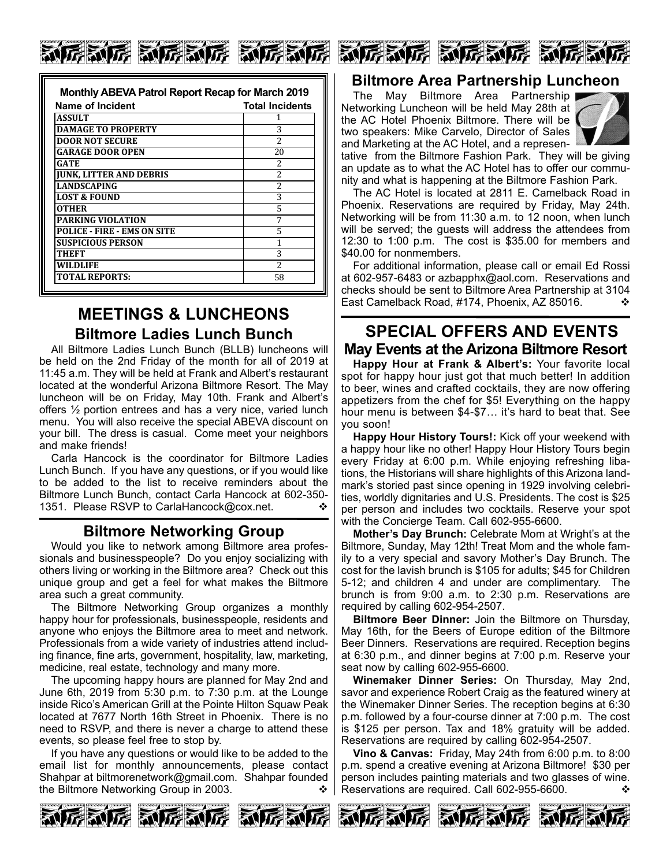# 厉害厉害 动厉害死 氯厉氯厉 氯厉氯厉 氯厉氯厉 氯厉氯

| Monthly ABEVA Patrol Report Recap for March 2019 |                          |
|--------------------------------------------------|--------------------------|
| Name of Incident                                 | <b>Total Incidents</b>   |
| ASSULT                                           |                          |
| <b>DAMAGE TO PROPERTY</b>                        | 3                        |
| <b>DOOR NOT SECURE</b>                           | $\overline{\mathcal{L}}$ |
| <b>GARAGE DOOR OPEN</b>                          | 20                       |
| GATE                                             | $\overline{\mathcal{L}}$ |
| <b>JUNK, LITTER AND DEBRIS</b>                   | $\overline{\mathcal{L}}$ |
| <b>LANDSCAPING</b>                               | $\mathcal{P}$            |
| <b>LOST &amp; FOUND</b>                          | 3                        |
| OTHER                                            | 5                        |
| <b>PARKING VIOLATION</b>                         |                          |
| <b>POLICE - FIRE - EMS ON SITE</b>               | 5                        |
| <b>SUSPICIOUS PERSON</b>                         |                          |
| THEFT                                            | 3                        |
| <b>WILDLIFE</b>                                  | $\overline{\mathcal{L}}$ |
| <b>TOTAL REPORTS:</b>                            | 58                       |

## **MEETINGS & LUNCHEONS Biltmore Ladies Lunch Bunch**

All Biltmore Ladies Lunch Bunch (BLLB) luncheons will be held on the 2nd Friday of the month for all of 2019 at 11:45 a.m. They will be held at Frank and Albert's restaurant located at the wonderful Arizona Biltmore Resort. The May luncheon will be on Friday, May 10th. Frank and Albert's offers ½ portion entrees and has a very nice, varied lunch menu. You will also receive the special ABEVA discount on your bill. The dress is casual. Come meet your neighbors and make friends!

Carla Hancock is the coordinator for Biltmore Ladies Lunch Bunch. If you have any questions, or if you would like to be added to the list to receive reminders about the Biltmore Lunch Bunch, contact Carla Hancock at 602-350- 1351. Please RSVP to CarlaHancock@cox.net.  $\diamond$ 

### **Biltmore Networking Group**

Would you like to network among Biltmore area professionals and businesspeople? Do you enjoy socializing with others living or working in the Biltmore area? Check out this unique group and get a feel for what makes the Biltmore area such a great community.

The Biltmore Networking Group organizes a monthly happy hour for professionals, businesspeople, residents and anyone who enjoys the Biltmore area to meet and network. Professionals from a wide variety of industries attend including finance, fine arts, government, hospitality, law, marketing, medicine, real estate, technology and many more.

The upcoming happy hours are planned for May 2nd and June 6th, 2019 from 5:30 p.m. to 7:30 p.m. at the Lounge inside Rico's American Grill at the Pointe Hilton Squaw Peak located at 7677 North 16th Street in Phoenix. There is no need to RSVP, and there is never a charge to attend these events, so please feel free to stop by.

If you have any questions or would like to be added to the email list for monthly announcements, please contact Shahpar at biltmorenetwork@gmail.com. Shahpar founded the Biltmore Networking Group in 2003.





### **Biltmore Area Partnership Luncheon**

The May Biltmore Area Partnership Networking Luncheon will be held May 28th at the AC Hotel Phoenix Biltmore. There will be two speakers: Mike Carvelo, Director of Sales and Marketing at the AC Hotel, and a represen-



tative from the Biltmore Fashion Park. They will be giving an update as to what the AC Hotel has to offer our community and what is happening at the Biltmore Fashion Park.

The AC Hotel is located at 2811 E. Camelback Road in Phoenix. Reservations are required by Friday, May 24th. Networking will be from 11:30 a.m. to 12 noon, when lunch will be served; the guests will address the attendees from 12:30 to 1:00 p.m. The cost is \$35.00 for members and \$40.00 for nonmembers.

For additional information, please call or email Ed Rossi at 602-957-6483 or azbapphx@aol.com. Reservations and checks should be sent to Biltmore Area Partnership at 3104 East Camelback Road, #174, Phoenix, AZ 85016.  $\diamond$ 

### **SPECIAL OFFERS AND EVENTS May Events at the Arizona Biltmore Resort**

**Happy Hour at Frank & Albert's:** Your favorite local spot for happy hour just got that much better! In addition to beer, wines and crafted cocktails, they are now offering appetizers from the chef for \$5! Everything on the happy hour menu is between \$4-\$7… it's hard to beat that. See you soon!

**Happy Hour History Tours!:** Kick off your weekend with a happy hour like no other! Happy Hour History Tours begin every Friday at 6:00 p.m. While enjoying refreshing libations, the Historians will share highlights of this Arizona landmark's storied past since opening in 1929 involving celebrities, worldly dignitaries and U.S. Presidents. The cost is \$25 per person and includes two cocktails. Reserve your spot with the Concierge Team. Call 602-955-6600.

**Mother's Day Brunch:** Celebrate Mom at Wright's at the Biltmore, Sunday, May 12th! Treat Mom and the whole family to a very special and savory Mother's Day Brunch. The cost for the lavish brunch is \$105 for adults; \$45 for Children 5-12; and children 4 and under are complimentary. The brunch is from 9:00 a.m. to 2:30 p.m. Reservations are required by calling 602-954-2507.

**Biltmore Beer Dinner:** Join the Biltmore on Thursday, May 16th, for the Beers of Europe edition of the Biltmore Beer Dinners. Reservations are required. Reception begins at 6:30 p.m., and dinner begins at 7:00 p.m. Reserve your seat now by calling 602-955-6600.

**Winemaker Dinner Series:** On Thursday, May 2nd, savor and experience Robert Craig as the featured winery at the Winemaker Dinner Series. The reception begins at 6:30 p.m. followed by a four-course dinner at 7:00 p.m. The cost is \$125 per person. Tax and 18% gratuity will be added. Reservations are required by calling 602-954-2507.

**Vino & Canvas:** Friday, May 24th from 6:00 p.m. to 8:00 p.m. spend a creative evening at Arizona Biltmore! \$30 per person includes painting materials and two glasses of wine. Reservations are required. Call 602-955-6600.  $\cdot$ 







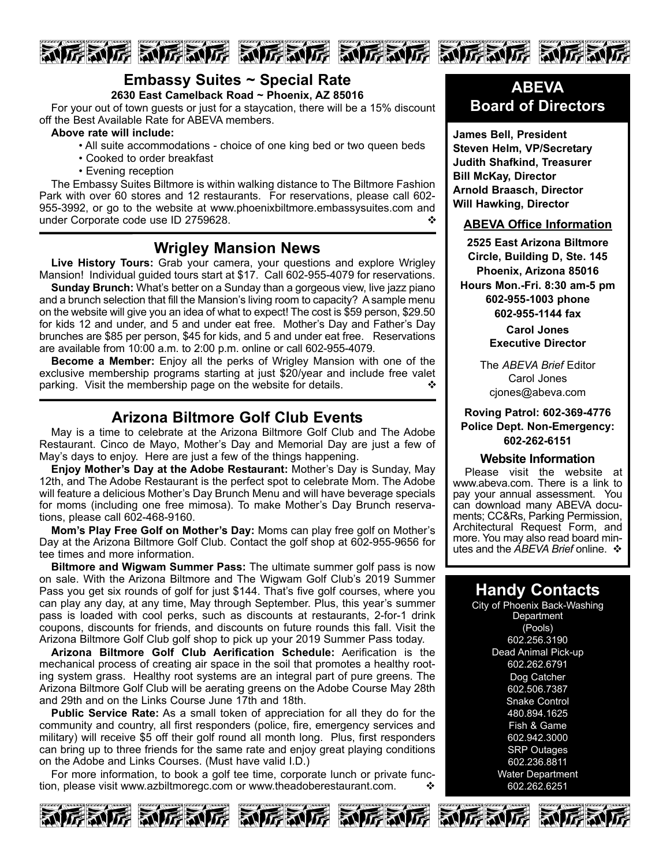





### **Embassy Suites ~ Special Rate**

**2630 East Camelback Road ~ Phoenix, AZ 85016**

For your out of town guests or just for a staycation, there will be a 15% discount off the Best Available Rate for ABEVA members.

#### **Above rate will include:**

- All suite accommodations choice of one king bed or two queen beds
- Cooked to order breakfast
- Evening reception

The Embassy Suites Biltmore is within walking distance to The Biltmore Fashion Park with over 60 stores and 12 restaurants. For reservations, please call 602- 955-3992, or go to the website at www.phoenixbiltmore.embassysuites.com and under Corporate code use ID 2759628. v

### **Wrigley Mansion News**

**Live History Tours:** Grab your camera, your questions and explore Wrigley Mansion! Individual guided tours start at \$17. Call 602-955-4079 for reservations.

**Sunday Brunch:** What's better on a Sunday than a gorgeous view, live jazz piano and a brunch selection that fill the Mansion's living room to capacity? Asample menu on the website will give you an idea of what to expect! The cost is \$59 person, \$29.50 for kids 12 and under, and 5 and under eat free. Mother's Day and Father's Day brunches are \$85 per person, \$45 for kids, and 5 and under eat free. Reservations are available from 10:00 a.m. to 2:00 p.m. online or call 602-955-4079.

**Become a Member:** Enjoy all the perks of Wrigley Mansion with one of the exclusive membership programs starting at just \$20/year and include free valet parking. Visit the membership page on the website for details.  $\cdot$ 

### **Arizona Biltmore Golf Club Events**

May is a time to celebrate at the Arizona Biltmore Golf Club and The Adobe Restaurant. Cinco de Mayo, Mother's Day and Memorial Day are just a few of May's days to enjoy. Here are just a few of the things happening.

**Enjoy Mother's Day at the Adobe Restaurant:** Mother's Day is Sunday, May 12th, and The Adobe Restaurant is the perfect spot to celebrate Mom. The Adobe will feature a delicious Mother's Day Brunch Menu and will have beverage specials for moms (including one free mimosa). To make Mother's Day Brunch reservations, please call 602-468-9160.

**Mom's Play Free Golf on Mother's Day:** Moms can play free golf on Mother's Day at the Arizona Biltmore Golf Club. Contact the golf shop at 602-955-9656 for tee times and more information.

**Biltmore and Wigwam Summer Pass:** The ultimate summer golf pass is now on sale. With the Arizona Biltmore and The Wigwam Golf Club's 2019 Summer Pass you get six rounds of golf for just \$144. That's five golf courses, where you can play any day, at any time, May through September. Plus, this year's summer pass is loaded with cool perks, such as discounts at restaurants, 2-for-1 drink coupons, discounts for friends, and discounts on future rounds this fall. Visit the Arizona Biltmore Golf Club golf shop to pick up your 2019 Summer Pass today.

**Arizona Biltmore Golf Club Aerification Schedule:** Aerification is the mechanical process of creating air space in the soil that promotes a healthy rooting system grass. Healthy root systems are an integral part of pure greens. The Arizona Biltmore Golf Club will be aerating greens on the Adobe Course May 28th and 29th and on the Links Course June 17th and 18th.

**Public Service Rate:** As a small token of appreciation for all they do for the community and country, all first responders (police, fire, emergency services and military) will receive \$5 off their golf round all month long. Plus, first responders can bring up to three friends for the same rate and enjoy great playing conditions on the Adobe and Links Courses. (Must have valid I.D.)

For more information, to book a golf tee time, corporate lunch or private function, please visit www.azbiltmoregc.com or www.theadoberestaurant.com.  $\cdot\cdot\cdot$ 



**James Bell, President Steven Helm, VP/Secretary Judith Shafkind, Treasurer Bill McKay, Director Arnold Braasch, Director Will Hawking, Director**

### **ABEVA Office Information**

**2525 East Arizona Biltmore Circle, Building D, Ste. 145 Phoenix, Arizona 85016 Hours Mon.-Fri. 8:30 am-5 pm 602-955-1003 phone 602-955-1144 fax**

> **Carol Jones Executive Director**

The *ABEVA Brief* Editor Carol Jones cjones@abeva.com

### **Roving Patrol: 602-369-4776 Police Dept. Non-Emergency: 602-262-6151**

#### **Website Information**

Please visit the website at www.abeva.com. There is a link to pay your annual assessment. You can download many ABEVA documents; CC&Rs, Parking Permission, Architectural Request Form, and more. You may also read board minutes and the *ABEVA Brief* online. ❖

### **Handy Contacts**

City of Phoenix Back-Washing **Department** (Pools) 602.256.3190 Dead Animal Pick-up 602.262.6791 Dog Catcher 602.506.7387 **Snake Control** 480.894.1625 Fish & Game 602.942.3000 SRP Outages 602.236.8811 Water Department 602.262.6251